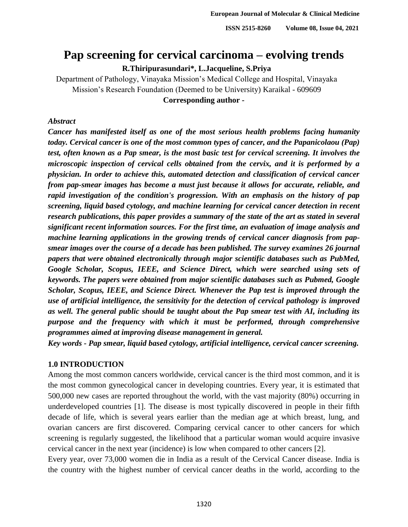# **Pap screening for cervical carcinoma – evolving trends**

**R.Thiripurasundari\*, L.Jacqueline, S.Priya**

 Department of Pathology, Vinayaka Mission's Medical College and Hospital, Vinayaka Mission's Research Foundation (Deemed to be University) Karaikal - 609609 **Corresponding author -**

### *Abstract*

 *Cancer has manifested itself as one of the most serious health problems facing humanity today. Cervical cancer is one of the most common types of cancer, and the Papanicolaou (Pap)*  test, often known as a Pap smear, is the most basic test for cervical screening. It involves the *microscopic inspection of cervical cells obtained from the cervix, and it is performed by a physician. In order to achieve this, automated detection and classification of cervical cancer from pap-smear images has become a must just because it allows for accurate, reliable, and rapid investigation of the condition's progression. With an emphasis on the history of pap screening, liquid based cytology, and machine learning for cervical cancer detection in recent research publications, this paper provides a summary of the state of the art as stated in several significant recent information sources. For the first time, an evaluation of image analysis and*  machine learning applications in the growing trends of cervical cancer diagnosis from pap- *smear images over the course of a decade has been published. The survey examines 26 journal papers that were obtained electronically through major scientific databases such as PubMed, Google Scholar, Scopus, IEEE, and Science Direct, which were searched using sets of keywords. The papers were obtained from major scientific databases such as Pubmed, Google Scholar, Scopus, IEEE, and Science Direct. Whenever the Pap test is improved through the use of artificial intelligence, the sensitivity for the detection of cervical pathology is improved as well. The general public should be taught about the Pap smear test with AI, including its purpose and the frequency with which it must be performed, through comprehensive programmes aimed at improving disease management in general.*

*Key words - Pap smear, liquid based cytology, artificial intelligence, cervical cancer screening.* 

### **1.0 INTRODUCTION**

Among the most common cancers worldwide, cervical cancer is the third most common, and it is the most common gynecological cancer in developing countries. Every year, it is estimated that 500,000 new cases are reported throughout the world, with the vast majority (80%) occurring in underdeveloped countries [1]. The disease is most typically discovered in people in their fifth decade of life, which is several years earlier than the median age at which breast, lung, and ovarian cancers are first discovered. Comparing cervical cancer to other cancers for which screening is regularly suggested, the likelihood that a particular woman would acquire invasive cervical cancer in the next year (incidence) is low when compared to other cancers [2].

Every year, over 73,000 women die in India as a result of the Cervical Cancer disease. India is the country with the highest number of cervical cancer deaths in the world, according to the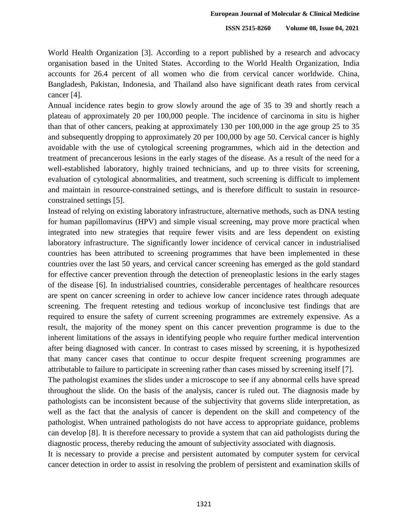World Health Organization [3]. According to a report published by a research and advocacy organisation based in the United States. According to the World Health Organization, India accounts for 26.4 percent of all women who die from cervical cancer worldwide. China, Bangladesh, Pakistan, Indonesia, and Thailand also have significant death rates from cervical cancer [4].

Annual incidence rates begin to grow slowly around the age of 35 to 39 and shortly reach a plateau of approximately 20 per 100,000 people. The incidence of carcinoma in situ is higher than that of other cancers, peaking at approximately 130 per  $100,000$  in the age group 25 to 35 and subsequently dropping to approximately 20 per 100,000 by age 50. Cervical cancer is highly avoidable with the use of cytological screening programmes, which aid in the detection and treatment of precancerous lesions in the early stages of the disease. As a result of the need for a well-established laboratory, highly trained technicians, and up to three visits for screening, 53 evaluation of cytological abnormalities, and treatment, such screening is difficult to implement and maintain in resource-constrained settings, and is therefore difficult to sustain in resourceconstrained settings [5].

Instead of relying on existing laboratory infrastructure, alternative methods, such as DNA testing 57 for human papillomavirus (HPV) and simple visual screening, may prove more practical when integrated into new strategies that require fewer visits and are less dependent on existing laboratory infrastructure. The significantly lower incidence of cervical cancer in industrialised countries has been attributed to screening programmes that have been implemented in these 61 countries over the last 50 years, and cervical cancer screening has emerged as the gold standard for effective cancer prevention through the detection of preneoplastic lesions in the early stages of the disease [6]. In industrialised countries, considerable percentages of healthcare resources are spent on cancer screening in order to achieve low cancer incidence rates through adequate screening. The frequent retesting and tedious workup of inconclusive test findings that are required to ensure the safety of current screening programmes are extremely expensive. As a result, the majority of the money spent on this cancer prevention programme is due to the inherent limitations of the assays in identifying people who require further medical intervention after being diagnosed with cancer. In contrast to cases missed by screening, it is hypothesized that many cancer cases that continue to occur despite frequent screening programmes are 71 attributable to failure to participate in screening rather than cases missed by screening itself [7].

The pathologist examines the slides under a microscope to see if any abnormal cells have spread 73 throughout the slide. On the basis of the analysis, cancer is ruled out. The diagnosis made by 74 pathologists can be inconsistent because of the subjectivity that governs slide interpretation, as well as the fact that the analysis of cancer is dependent on the skill and competency of the pathologist. When untrained pathologists do not have access to appropriate guidance, problems can develop [8]. It is therefore necessary to provide a system that can aid pathologists during the diagnostic process, thereby reducing the amount of subjectivity associated with diagnosis.

It is necessary to provide a precise and persistent automated by computer system for cervical cancer detection in order to assist in resolving the problem of persistent and examination skills of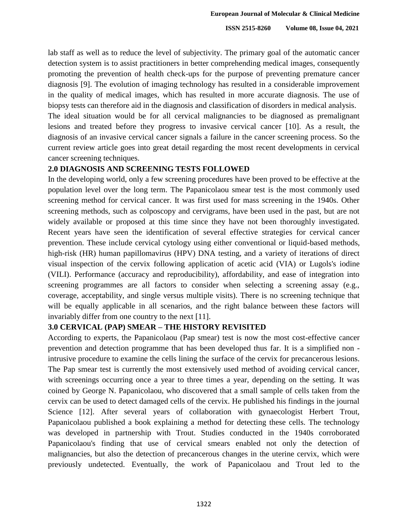lab staff as well as to reduce the level of subjectivity. The primary goal of the automatic cancer detection system is to assist practitioners in better comprehending medical images, consequently 83 promoting the prevention of health check-ups for the purpose of preventing premature cancer diagnosis [9]. The evolution of imaging technology has resulted in a considerable improvement in the quality of medical images, which has resulted in more accurate diagnosis. The use of 86 biopsy tests can therefore aid in the diagnosis and classification of disorders in medical analysis.

The ideal situation would be for all cervical malignancies to be diagnosed as premalignant lesions and treated before they progress to invasive cervical cancer [10]. As a result, the diagnosis of an invasive cervical cancer signals a failure in the cancer screening process. So the 90 current review article goes into great detail regarding the most recent developments in cervical cancer screening techniques.

### 92 **2.0 DIAGNOSIS AND SCREENING TESTS FOLLOWED**

In the developing world, only a few screening procedures have been proved to be effective at the population level over the long term. The Papanicolaou smear test is the most commonly used 95 screening method for cervical cancer. It was first used for mass screening in the 1940s. Other screening methods, such as colposcopy and cervigrams, have been used in the past, but are not widely available or proposed at this time since they have not been thoroughly investigated. Recent years have seen the identification of several effective strategies for cervical cancer 99 prevention. These include cervical cytology using either conventional or liquid-based methods, high-risk (HR) human papillomavirus (HPV) DNA testing, and a variety of iterations of direct visual inspection of the cervix following application of acetic acid (VIA) or Lugols's iodine 102 (VILI). Performance (accuracy and reproducibility), affordability, and ease of integration into screening programmes are all factors to consider when selecting a screening assay (e.g., coverage, acceptability, and single versus multiple visits). There is no screening technique that will be equally applicable in all scenarios, and the right balance between these factors will invariably differ from one country to the next  $[11]$ .

### 107 **3.0 CERVICAL (PAP) SMEAR – THE HISTORY REVISITED**

According to experts, the Papanicolaou (Pap smear) test is now the most cost-effective cancer prevention and detection programme that has been developed thus far. It is a simplified non intrusive procedure to examine the cells lining the surface of the cervix for precancerous lesions. The Pap smear test is currently the most extensively used method of avoiding cervical cancer, with screenings occurring once a year to three times a year, depending on the setting. It was 113 coined by George N. Papanicolaou, who discovered that a small sample of cells taken from the 114 cervix can be used to detect damaged cells of the cervix. He published his findings in the journal Science [12]. After several years of collaboration with gynaecologist Herbert Trout, Papanicolaou published a book explaining a method for detecting these cells. The technology was developed in partnership with Trout. Studies conducted in the 1940s corroborated Papanicolaou's finding that use of cervical smears enabled not only the detection of malignancies, but also the detection of precancerous changes in the uterine cervix, which were previously undetected. Eventually, the work of Papanicolaou and Trout led to the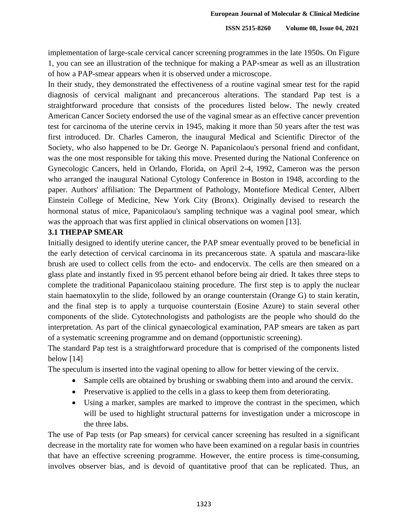implementation of large-scale cervical cancer screening programmes in the late 1950s. On Figure 1, you can see an illustration of the technique for making a PAP-smear as well as an illustration of how a PAP-smear appears when it is observed under a microscope.

In their study, they demonstrated the effectiveness of a routine vaginal smear test for the rapid diagnosis of cervical malignant and precancerous alterations. The standard Pap test is a 126 straightforward procedure that consists of the procedures listed below. The newly created American Cancer Society endorsed the use of the vaginal smear as an effective cancer prevention test for carcinoma of the uterine cervix in 1945, making it more than 50 years after the test was first introduced. Dr. Charles Cameron, the inaugural Medical and Scientific Director of the Society, who also happened to be Dr. George N. Papanicolaou's personal friend and confidant, was the one most responsible for taking this move. Presented during the National Conference on Gynecologic Cancers, held in Orlando, Florida, on April 2-4, 1992, Cameron was the person who arranged the inaugural National Cytology Conference in Boston in 1948, according to the paper. Authors' affiliation: The Department of Pathology, Montefiore Medical Center, Albert Einstein College of Medicine, New York City (Bronx). Originally devised to research the hormonal status of mice, Papanicolaou's sampling technique was a vaginal pool smear, which was the approach that was first applied in clinical observations on women [13].

### 138 **3.1 THEPAP SMEAR**

Initially designed to identify uterine cancer, the PAP smear eventually proved to be beneficial in 140 the early detection of cervical carcinoma in its precancerous state. A spatula and mascara-like brush are used to collect cells from the ecto- and endocervix. The cells are then smeared on a glass plate and instantly fixed in 95 percent ethanol before being air dried. It takes three steps to complete the traditional Papanicolaou staining procedure. The first step is to apply the nuclear stain haematoxylin to the slide, followed by an orange counterstain (Orange G) to stain keratin, and the final step is to apply a turquoise counterstain (Eosine Azure) to stain several other 146 components of the slide. Cytotechnologists and pathologists are the people who should do the interpretation. As part of the clinical gynaecological examination, PAP smears are taken as part of a systematic screening programme and on demand (opportunistic screening).

The standard Pap test is a straightforward procedure that is comprised of the components listed below  $[14]$ 

The speculum is inserted into the vaginal opening to allow for better viewing of the cervix.

- Sample cells are obtained by brushing or swabbing them into and around the cervix.
- Preservative is applied to the cells in a glass to keep them from deteriorating.
- Using a marker, samples are marked to improve the contrast in the specimen, which will be used to highlight structural patterns for investigation under a microscope in the three labs.

The use of Pap tests (or Pap smears) for cervical cancer screening has resulted in a significant decrease in the mortality rate for women who have been examined on a regular basis in countries that have an effective screening programme. However, the entire process is time-consuming, involves observer bias, and is devoid of quantitative proof that can be replicated. Thus, an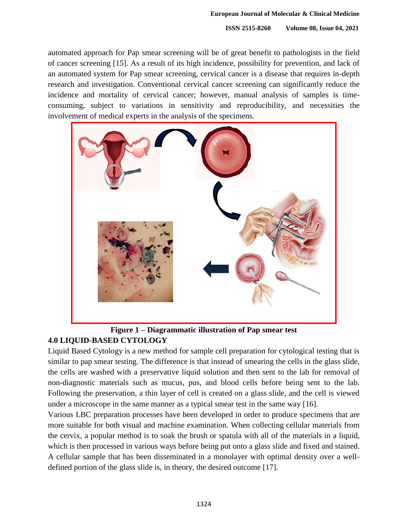automated approach for Pap smear screening will be of great benefit to pathologists in the field of cancer screening [15]. As a result of its high incidence, possibility for prevention, and lack of an automated system for Pap smear screening, cervical cancer is a disease that requires in-depth research and investigation. Conventional cervical cancer screening can significantly reduce the incidence and mortality of cervical cancer; however, manual analysis of samples is time-166 consuming, subject to variations in sensitivity and reproducibility, and necessities the involvement of medical experts in the analysis of the specimens.



### 169 **Figure 1 – Diagrammatic illustration of Pap smear test** 170 **4.0 LIQUID-BASED CYTOLOGY**

Liquid Based Cytology is a new method for sample cell preparation for cytological testing that is similar to pap smear testing. The difference is that instead of smearing the cells in the glass slide, the cells are washed with a preservative liquid solution and then sent to the lab for removal of non-diagnostic materials such as mucus, pus, and blood cells before being sent to the lab. 175 Following the preservation, a thin layer of cell is created on a glass slide, and the cell is viewed under a microscope in the same manner as a typical smear test in the same way  $[16]$ .

Various LBC preparation processes have been developed in order to produce specimens that are more suitable for both visual and machine examination. When collecting cellular materials from the cervix, a popular method is to soak the brush or spatula with all of the materials in a liquid, which is then processed in various ways before being put onto a glass slide and fixed and stained. 181 A cellular sample that has been disseminated in a monolayer with optimal density over a welldefined portion of the glass slide is, in theory, the desired outcome  $[17]$ .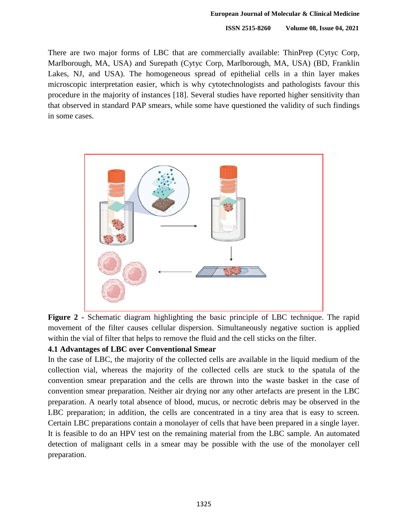There are two major forms of LBC that are commercially available: ThinPrep (Cytyc Corp, Marlborough, MA, USA) and Surepath (Cytyc Corp, Marlborough, MA, USA) (BD, Franklin Lakes, NJ, and USA). The homogeneous spread of epithelial cells in a thin layer makes microscopic interpretation easier, which is why cytotechnologists and pathologists favour this procedure in the majority of instances [18]. Several studies have reported higher sensitivity than that observed in standard PAP smears, while some have questioned the validity of such findings in some cases.



Figure 2 - Schematic diagram highlighting the basic principle of LBC technique. The rapid 195 movement of the filter causes cellular dispersion. Simultaneously negative suction is applied within the vial of filter that helps to remove the fluid and the cell sticks on the filter.

## 197 **4.1 Advantages of LBC over Conventional Smear**

In the case of LBC, the majority of the collected cells are available in the liquid medium of the 199 collection vial, whereas the majority of the collected cells are stuck to the spatula of the convention smear preparation and the cells are thrown into the waste basket in the case of 201 convention smear preparation. Neither air drying nor any other artefacts are present in the LBC preparation. A nearly total absence of blood, mucus, or necrotic debris may be observed in the LBC preparation; in addition, the cells are concentrated in a tiny area that is easy to screen. 204 Certain LBC preparations contain a monolayer of cells that have been prepared in a single layer. It is feasible to do an HPV test on the remaining material from the LBC sample. An automated 206 detection of malignant cells in a smear may be possible with the use of the monolayer cell preparation.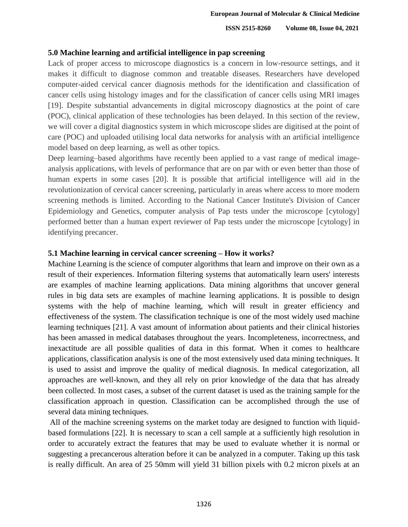### 209 **5.0 Machine learning and artificial intelligence in pap screening**

Lack of proper access to microscope diagnostics is a concern in low-resource settings, and it makes it difficult to diagnose common and treatable diseases. Researchers have developed computer-aided cervical cancer diagnosis methods for the identification and classification of cancer cells using histology images and for the classification of cancer cells using MRI images 214 [19]. Despite substantial advancements in digital microscopy diagnostics at the point of care 215 (POC), clinical application of these technologies has been delayed. In this section of the review, 216 we will cover a digital diagnostics system in which microscope slides are digitised at the point of care (POC) and uploaded utilising local data networks for analysis with an artificial intelligence model based on deep learning, as well as other topics.

Deep learning–based algorithms have recently been applied to a vast range of medical image-220 analysis applications, with levels of performance that are on par with or even better than those of human experts in some cases [20]. It is possible that artificial intelligence will aid in the revolutionization of cervical cancer screening, particularly in areas where access to more modern 223 screening methods is limited. According to the National Cancer Institute's Division of Cancer Epidemiology and Genetics, computer analysis of Pap tests under the microscope [cytology] performed better than a human expert reviewer of Pap tests under the microscope [cytology] in identifying precancer.

### 228 **5.1 Machine learning in cervical cancer screening – How it works?**

Machine Learning is the science of computer algorithms that learn and improve on their own as a result of their experiences. Information filtering systems that automatically learn users' interests are examples of machine learning applications. Data mining algorithms that uncover general 232 rules in big data sets are examples of machine learning applications. It is possible to design systems with the help of machine learning, which will result in greater efficiency and 234 effectiveness of the system. The classification technique is one of the most widely used machine learning techniques [21]. A vast amount of information about patients and their clinical histories 236 has been amassed in medical databases throughout the years. Incompleteness, incorrectness, and 237 inexactitude are all possible qualities of data in this format. When it comes to healthcare applications, classification analysis is one of the most extensively used data mining techniques. It is used to assist and improve the quality of medical diagnosis. In medical categorization, all 240 approaches are well-known, and they all rely on prior knowledge of the data that has already been collected. In most cases, a subset of the current dataset is used as the training sample for the classification approach in question. Classification can be accomplished through the use of several data mining techniques.

All of the machine screening systems on the market today are designed to function with liquidbased formulations [22]. It is necessary to scan a cell sample at a sufficiently high resolution in 246 order to accurately extract the features that may be used to evaluate whether it is normal or 247 suggesting a precancerous alteration before it can be analyzed in a computer. Taking up this task is really difficult. An area of 25 50mm will yield 31 billion pixels with 0.2 micron pixels at an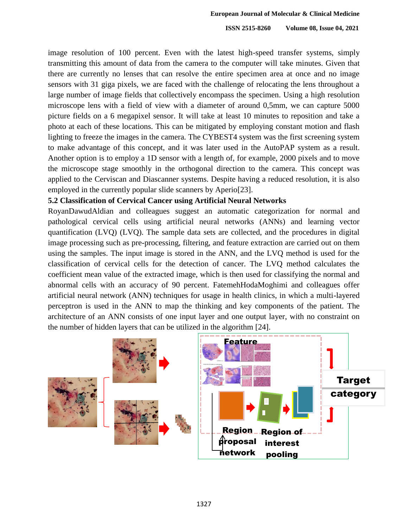image resolution of 100 percent. Even with the latest high-speed transfer systems, simply 250 transmitting this amount of data from the camera to the computer will take minutes. Given that there are currently no lenses that can resolve the entire specimen area at once and no image sensors with 31 giga pixels, we are faced with the challenge of relocating the lens throughout a large number of image fields that collectively encompass the specimen. Using a high resolution microscope lens with a field of view with a diameter of around 0,5mm, we can capture 5000 255 picture fields on a 6 megapixel sensor. It will take at least 10 minutes to reposition and take a 256 photo at each of these locations. This can be mitigated by employing constant motion and flash lighting to freeze the images in the camera. The CYBEST4 system was the first screening system to make advantage of this concept, and it was later used in the AutoPAP system as a result. Another option is to employ a 1D sensor with a length of, for example, 2000 pixels and to move 260 the microscope stage smoothly in the orthogonal direction to the camera. This concept was applied to the Cerviscan and Diascanner systems. Despite having a reduced resolution, it is also employed in the currently popular slide scanners by Aperio[23].

### 263 **5.2 Classification of Cervical Cancer using Artificial Neural Networks**

RoyanDawudAldian and colleagues suggest an automatic categorization for normal and 265 pathological cervical cells using artificial neural networks (ANNs) and learning vector 266 quantification (LVQ) (LVQ). The sample data sets are collected, and the procedures in digital image processing such as pre-processing, filtering, and feature extraction are carried out on them using the samples. The input image is stored in the ANN, and the LVQ method is used for the 269 classification of cervical cells for the detection of cancer. The LVQ method calculates the coefficient mean value of the extracted image, which is then used for classifying the normal and abnormal cells with an accuracy of 90 percent. FatemehHodaMoghimi and colleagues offer artificial neural network (ANN) techniques for usage in health clinics, in which a multi-layered perceptron is used in the ANN to map the thinking and key components of the patient. The 274 architecture of an ANN consists of one input layer and one output layer, with no constraint on the number of hidden layers that can be utilized in the algorithm [24].

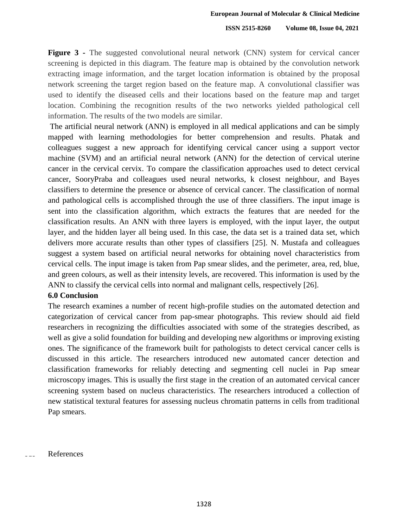**Figure 3** - The suggested convolutional neural network (CNN) system for cervical cancer 278 screening is depicted in this diagram. The feature map is obtained by the convolution network extracting image information, and the target location information is obtained by the proposal network screening the target region based on the feature map. A convolutional classifier was used to identify the diseased cells and their locations based on the feature map and target location. Combining the recognition results of the two networks yielded pathological cell information. The results of the two models are similar.

284 The artificial neural network (ANN) is employed in all medical applications and can be simply mapped with learning methodologies for better comprehension and results. Phatak and 286 colleagues suggest a new approach for identifying cervical cancer using a support vector machine (SVM) and an artificial neural network (ANN) for the detection of cervical uterine 288 cancer in the cervical cervix. To compare the classification approaches used to detect cervical cancer, SooryPraba and colleagues used neural networks, k closest neighbour, and Bayes classifiers to determine the presence or absence of cervical cancer. The classification of normal and pathological cells is accomplished through the use of three classifiers. The input image is sent into the classification algorithm, which extracts the features that are needed for the classification results. An ANN with three layers is employed, with the input layer, the output layer, and the hidden layer all being used. In this case, the data set is a trained data set, which delivers more accurate results than other types of classifiers [25]. N. Mustafa and colleagues 296 suggest a system based on artificial neural networks for obtaining novel characteristics from cervical cells. The input image is taken from Pap smear slides, and the perimeter, area, red, blue, and green colours, as well as their intensity levels, are recovered. This information is used by the ANN to classify the cervical cells into normal and malignant cells, respectively [26].

#### 300 **6.0 Conclusion**

The research examines a number of recent high-profile studies on the automated detection and categorization of cervical cancer from pap-smear photographs. This review should aid field 303 researchers in recognizing the difficulties associated with some of the strategies described, as well as give a solid foundation for building and developing new algorithms or improving existing 305 ones. The significance of the framework built for pathologists to detect cervical cancer cells is discussed in this article. The researchers introduced new automated cancer detection and 307 classification frameworks for reliably detecting and segmenting cell nuclei in Pap smear microscopy images. This is usually the first stage in the creation of an automated cervical cancer screening system based on nucleus characteristics. The researchers introduced a collection of new statistical textural features for assessing nucleus chromatin patterns in cells from traditional Pap smears.

**References**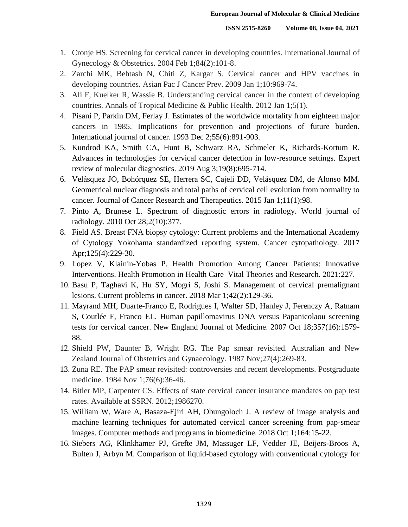- 316 1. Cronje HS. Screening for cervical cancer in developing countries. International Journal of Gynecology & Obstetrics. 2004 Feb  $1;84(2):101-8$ .
- 318 2. Zarchi MK, Behtash N, Chiti Z, Kargar S. Cervical cancer and HPV vaccines in developing countries. Asian Pac J Cancer Prev. 2009 Jan 1;10:969-74.
- 3. Ali F, Kuelker R, Wassie B. Understanding cervical cancer in the context of developing 321 countries. Annals of Tropical Medicine & Public Health. 2012 Jan 1;5(1).
- 322 4. Pisani P, Parkin DM, Ferlay J. Estimates of the worldwide mortality from eighteen major cancers in 1985. Implications for prevention and projections of future burden. International journal of cancer. 1993 Dec 2;55(6):891-903.
- 325 5. Kundrod KA, Smith CA, Hunt B, Schwarz RA, Schmeler K, Richards-Kortum R. 326 Advances in technologies for cervical cancer detection in low-resource settings. Expert review of molecular diagnostics. 2019 Aug 3;19(8):695-714.
- 328 6. Velásquez JO, Bohórquez SE, Herrera SC, Cajeli DD, Velásquez DM, de Alonso MM. Geometrical nuclear diagnosis and total paths of cervical cell evolution from normality to 330 cancer. Journal of Cancer Research and Therapeutics. 2015 Jan 1;11(1):98.
- 331 7. Pinto A, Brunese L. Spectrum of diagnostic errors in radiology. World journal of radiology. 2010 Oct 28;2(10):377.
- 333 8. Field AS. Breast FNA biopsy cytology: Current problems and the International Academy 334 of Cytology Yokohama standardized reporting system. Cancer cytopathology. 2017 Apr;125(4):229-30.
- 336 9. Lopez V, Klainin-Yobas P. Health Promotion Among Cancer Patients: Innovative Interventions. Health Promotion in Health Care–Vital Theories and Research. 2021:227.
- 338 10. Basu P, Taghavi K, Hu SY, Mogri S, Joshi S. Management of cervical premalignant lesions. Current problems in cancer. 2018 Mar 1;42(2):129-36.
- 340 11. Mayrand MH, Duarte-Franco E, Rodrigues I, Walter SD, Hanley J, Ferenczy A, Ratnam S, Coutlée F, Franco EL. Human papillomavirus DNA versus Papanicolaou screening 342 tests for cervical cancer. New England Journal of Medicine. 2007 Oct 18;357(16):1579- 88.
- 344 12. Shield PW, Daunter B, Wright RG. The Pap smear revisited. Australian and New Zealand Journal of Obstetrics and Gynaecology. 1987 Nov; 27(4): 269-83.
- 13. Zuna RE. The PAP smear revisited: controversies and recent developments. Postgraduate medicine. 1984 Nov 1;76(6):36-46.
- 14. Bitler MP, Carpenter CS. Effects of state cervical cancer insurance mandates on pap test rates. Available at SSRN. 2012;1986270.
- 15. William W, Ware A, Basaza-Ejiri AH, Obungoloch J. A review of image analysis and machine learning techniques for automated cervical cancer screening from pap-smear images. Computer methods and programs in biomedicine. 2018 Oct 1;164:15-22.
- 353 16. Siebers AG, Klinkhamer PJ, Grefte JM, Massuger LF, Vedder JE, Beijers-Broos A, 354 Bulten J, Arbyn M. Comparison of liquid-based cytology with conventional cytology for